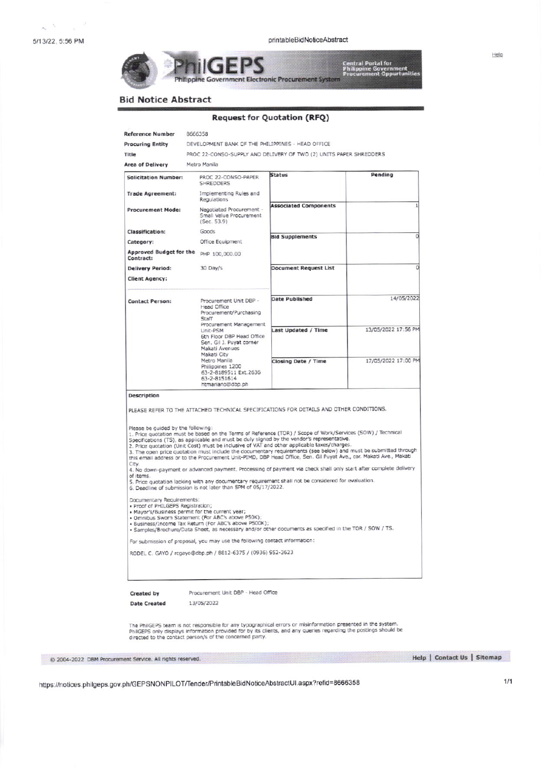$\sim$   $^{3}$   $^{-}$   $\times$   $^{-2}$ 

.<br>Central Portal foi<br>Philippine Gover

**Bid Notice Abstract** 

## **Request for Quotation (RFQ)**

Philippine Government Electronic Procurement System

| <b>Procuring Entity</b><br>Title                                                     | DEVELOPMENT BANK OF THE PHILIPPINES - HEAD OFFICE                                                                                                                                                                                                                                                                                                                                                                                                                                                                                                                                                                                                                                                                                                                                                                                                                                                                                                                                                                                                                                                                                                                                                                                                                      |                                                                    |                     |
|--------------------------------------------------------------------------------------|------------------------------------------------------------------------------------------------------------------------------------------------------------------------------------------------------------------------------------------------------------------------------------------------------------------------------------------------------------------------------------------------------------------------------------------------------------------------------------------------------------------------------------------------------------------------------------------------------------------------------------------------------------------------------------------------------------------------------------------------------------------------------------------------------------------------------------------------------------------------------------------------------------------------------------------------------------------------------------------------------------------------------------------------------------------------------------------------------------------------------------------------------------------------------------------------------------------------------------------------------------------------|--------------------------------------------------------------------|---------------------|
|                                                                                      |                                                                                                                                                                                                                                                                                                                                                                                                                                                                                                                                                                                                                                                                                                                                                                                                                                                                                                                                                                                                                                                                                                                                                                                                                                                                        | PROC 22-CONSO-SUPPLY AND DELIVERY OF TWO (2) UNITS PAPER SHREDDERS |                     |
| <b>Area of Delivery</b>                                                              | Metro Manila                                                                                                                                                                                                                                                                                                                                                                                                                                                                                                                                                                                                                                                                                                                                                                                                                                                                                                                                                                                                                                                                                                                                                                                                                                                           |                                                                    |                     |
| <b>Solicitation Number:</b>                                                          | PROC 22-CONSO-PAPER<br>SHREDDERS                                                                                                                                                                                                                                                                                                                                                                                                                                                                                                                                                                                                                                                                                                                                                                                                                                                                                                                                                                                                                                                                                                                                                                                                                                       | <b>Status</b>                                                      | Pending             |
| <b>Trade Agreement:</b>                                                              | Implementing Rules and<br>Regulations                                                                                                                                                                                                                                                                                                                                                                                                                                                                                                                                                                                                                                                                                                                                                                                                                                                                                                                                                                                                                                                                                                                                                                                                                                  |                                                                    |                     |
| <b>Procurement Mode:</b>                                                             | Negotiated Procurement -<br>Small Value Procurement<br>(Sec. 53.9)                                                                                                                                                                                                                                                                                                                                                                                                                                                                                                                                                                                                                                                                                                                                                                                                                                                                                                                                                                                                                                                                                                                                                                                                     | <b>Associated Components</b>                                       |                     |
| Classification:                                                                      | Goods                                                                                                                                                                                                                                                                                                                                                                                                                                                                                                                                                                                                                                                                                                                                                                                                                                                                                                                                                                                                                                                                                                                                                                                                                                                                  |                                                                    |                     |
| Category:                                                                            | Office Equipment                                                                                                                                                                                                                                                                                                                                                                                                                                                                                                                                                                                                                                                                                                                                                                                                                                                                                                                                                                                                                                                                                                                                                                                                                                                       | <b>Bid Supplements</b>                                             |                     |
| Contract:                                                                            | Approved Budget for the PHP 100,000.00                                                                                                                                                                                                                                                                                                                                                                                                                                                                                                                                                                                                                                                                                                                                                                                                                                                                                                                                                                                                                                                                                                                                                                                                                                 |                                                                    |                     |
| <b>Delivery Period:</b>                                                              | 30 Day/s                                                                                                                                                                                                                                                                                                                                                                                                                                                                                                                                                                                                                                                                                                                                                                                                                                                                                                                                                                                                                                                                                                                                                                                                                                                               | <b>Document Request List</b>                                       |                     |
| <b>Client Agency:</b>                                                                |                                                                                                                                                                                                                                                                                                                                                                                                                                                                                                                                                                                                                                                                                                                                                                                                                                                                                                                                                                                                                                                                                                                                                                                                                                                                        |                                                                    |                     |
| <b>Contact Person:</b>                                                               | Procurement Unit DBP -<br>Head Office<br>Procurement/Purchasing<br>Staff                                                                                                                                                                                                                                                                                                                                                                                                                                                                                                                                                                                                                                                                                                                                                                                                                                                                                                                                                                                                                                                                                                                                                                                               | <b>Date Published</b>                                              | 14/05/2022          |
|                                                                                      | Procurement Management<br>Unit-PSM<br>6th Floor DBP Head Office<br>Sen. Gil J. Puyat corner<br>Makati Avenues<br>Makati City                                                                                                                                                                                                                                                                                                                                                                                                                                                                                                                                                                                                                                                                                                                                                                                                                                                                                                                                                                                                                                                                                                                                           | Last Updated / Time                                                | 13/05/2022 17:56 PM |
|                                                                                      | Metro Manila<br>Philippines 1200<br>63-2-8189511 Ext.2636<br>63-2-8151614<br>htmariano@dbp.ph                                                                                                                                                                                                                                                                                                                                                                                                                                                                                                                                                                                                                                                                                                                                                                                                                                                                                                                                                                                                                                                                                                                                                                          | Closing Date / Time                                                | 17/05/2022 17:00 PM |
| Please be guided by the following:                                                   |                                                                                                                                                                                                                                                                                                                                                                                                                                                                                                                                                                                                                                                                                                                                                                                                                                                                                                                                                                                                                                                                                                                                                                                                                                                                        |                                                                    |                     |
| City.<br>of items.<br>Documentary Requirements:<br>· Proof of PHILGEPS Registration; | 1. Price quotation must be based on the Terms of Reference (TOR) / Scope of Work/Services (SOW) / Technical<br>Specifications (TS), as applicable and must be duly signed by the vendor's representative.<br>2. Price quotation (Unit Cost) must be inclusive of VAT and other applicable taxes/charges.<br>3. The open price quotation must include the documentary requirements (see below) and must be submitted through<br>this email address or to the Procurement Unit-PIMD, DBP Head Office, Sen. Gil Puyat Ave., cor. Makati Ave., Makati<br>4. No down-payment or advanced payment. Processing of payment via check shall only start after complete delivery<br>5. Price quotation lacking with any documentary requirement shall not be considered for evaluation.<br>6. Deadline of submission is not later than 5PM of 05/17/2022.<br>. Mayor's/Business permit for the current year;<br>· Omnibus Sworn Statement (For ABC's above P50K);<br>· Business/Income Tax Return (For ABC's above P500K);<br>· Samples/Brochure/Data Sheet, as necessary and/or other documents as specified in the TOR / SOW / TS.<br>For submission of proposal, you may use the following contact information:<br>RODEL C. GAYO / rcgayo@dbp.ph / 8812-6375 / (0936) 952-3623 |                                                                    |                     |
| Created by                                                                           | Procurement Unit DBP - Head Office                                                                                                                                                                                                                                                                                                                                                                                                                                                                                                                                                                                                                                                                                                                                                                                                                                                                                                                                                                                                                                                                                                                                                                                                                                     |                                                                    |                     |
| <b>Date Created</b>                                                                  | 13/05/2022                                                                                                                                                                                                                                                                                                                                                                                                                                                                                                                                                                                                                                                                                                                                                                                                                                                                                                                                                                                                                                                                                                                                                                                                                                                             |                                                                    |                     |

Help | Contact Us | Sitemap

https://notices.philgeps.gov.ph/GEPSNONPILOT/Tender/PrintableBidNoticeAbstractUI.aspx?refid=8666358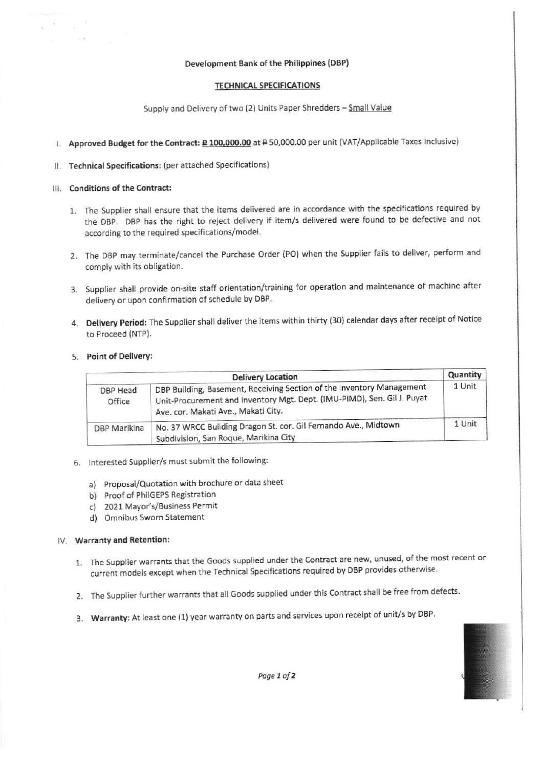#### Development Bank of the Philippines (DBP)

## **TECHNICAL SPECIFICATIONS**

Supply and Delivery of two (2) Units Paper Shredders - Small Value

# I. Approved Budget for the Contract: £100,000.00 at #50,000.00 per unit (VAT/Applicable Taxes Inclusive)

## II. Technical Specifications: (per attached Specifications)

#### III. Conditions of the Contract:

 $\frac{1}{2} \frac{1}{2} \frac{1}{2}$ on K

- 1. The Supplier shall ensure that the items delivered are in accordance with the specifications required by the DBP. DBP has the right to reject delivery if item/s delivered were found to be defective and not according to the required specifications/model.
- 2. The DBP may terminate/cancel the Purchase Order (PO) when the Supplier fails to deliver, perform and comply with its obligation.
- 3. Supplier shall provide on-site staff orientation/training for operation and maintenance of machine after delivery or upon confirmation of schedule by DBP.
- 4. Delivery Period: The Supplier shall deliver the items within thirty (30) calendar days after receipt of Notice to Proceed (NTP).

## 5. Point of Delivery:

|                    | <b>Delivery Location</b>                                                                                                                                                                | Quantity |
|--------------------|-----------------------------------------------------------------------------------------------------------------------------------------------------------------------------------------|----------|
| DBP Head<br>Office | DBP Building, Basement, Receiving Section of the Inventory Management<br>Unit-Procurement and Inventory Mgt. Dept. (IMU-PIMD), Sen. Gil J. Puyat<br>Ave. cor. Makati Ave., Makati City. | 1 Unit   |
| DBP Marikina       | No. 37 WRCC Building Dragon St. cor. Gil Fernando Ave., Midtown<br>Subdivision, San Roque, Marikina City                                                                                | 1 Unit   |

- 6. Interested Supplier/s must submit the following:
	- a) Proposal/Quotation with brochure or data sheet
	- b) Proof of PhilGEPS Registration
	- c) 2021 Mayor's/Business Permit
	- d) Omnibus Sworn Statement

#### IV. Warranty and Retention:

- 1. The Supplier warrants that the Goods supplied under the Contract are new, unused, of the most recent or current models except when the Technical Specifications required by DBP provides otherwise.
- 2. The Supplier further warrants that all Goods supplied under this Contract shall be free from defects.
- 3. Warranty: At least one (1) year warranty on parts and services upon receipt of unit/s by DBP.

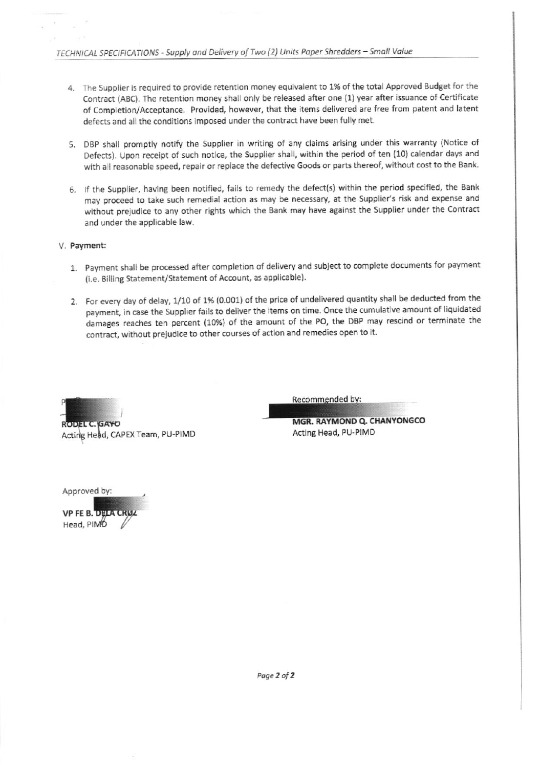- 4. The Supplier is required to provide retention money equivalent to 1% of the total Approved Budget for the Contract (ABC). The retention money shall only be released after one (1) year after issuance of Certificate of Completion/Acceptance. Provided, however, that the items delivered are free from patent and latent defects and all the conditions imposed under the contract have been fully met.
- 5. DBP shall promptly notify the Supplier in writing of any claims arising under this warranty (Notice of Defects). Upon receipt of such notice, the Supplier shall, within the period of ten (10) calendar days and with all reasonable speed, repair or replace the defective Goods or parts thereof, without cost to the Bank.
- 6. If the Supplier, having been notified, fails to remedy the defect(s) within the period specified, the Bank may proceed to take such remedial action as may be necessary, at the Supplier's risk and expense and without prejudice to any other rights which the Bank may have against the Supplier under the Contract and under the applicable law.

## V. Payment:

- 1. Payment shall be processed after completion of delivery and subject to complete documents for payment (i.e. Billing Statement/Statement of Account, as applicable).
- 2. For every day of delay, 1/10 of 1% (0.001) of the price of undelivered quantity shall be deducted from the payment, in case the Supplier fails to deliver the items on time. Once the cumulative amount of liquidated damages reaches ten percent (10%) of the amount of the PO, the DBP may rescind or terminate the contract, without prejudice to other courses of action and remedies open to it.



**RODEL C. GAYO** Acting Head, CAPEX Team, PU-PIMD Recommended by:

MGR, RAYMOND Q. CHANYONGCO Acting Head, PU-PIMD

Approved by:

**VP FE B. DELA CR** Head, PIMO